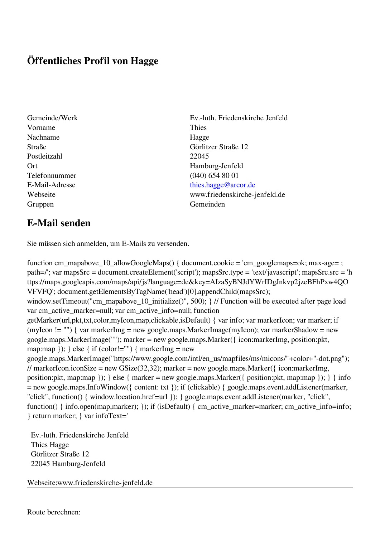## **Öffentliches Profil von Hagge**

- Vorname Thies Nachname Hagge Postleitzahl 22045 Telefonnummer (040) 654 80 01 Gruppen Gemeinden Gemeinden Gemeinden Gemeinden Gemeinden Gemeinden Gemeinden Gemeinden Gemeinden Gemeinden G
- Gemeinde/Werk Ev.-luth. Friedenskirche Jenfeld Straße Görlitzer Straße 12 Ort Hamburg-Jenfeld E-Mail-Adresse [thies.hagge@arcor.de](mailto:thies.hagge@arcor.de) Webseite www.friedenskirche-jenfeld.de

## **E-Mail senden**

Sie müssen sich anmelden, um E-Mails zu versenden.

function cm\_mapabove\_10\_allowGoogleMaps() { document.cookie = 'cm\_googlemaps=ok; max-age= ; path=/'; var mapsSrc = document.createElement('script'); mapsSrc.type = 'text/javascript'; mapsSrc.src = 'h ttps://maps.googleapis.com/maps/api/js?language=de&key=AIzaSyBNJdYWrIDgJnkvp2jzeBFhPxw4QO VFVFQ'; document.getElementsByTagName('head')[0].appendChild(mapsSrc); window.setTimeout("cm\_mapabove\_10\_initialize()", 500); } // Function will be executed after page load var cm\_active\_marker=null; var cm\_active\_info=null; function getMarker(url,pkt,txt,color,myIcon,map,clickable,isDefault) { var info; var markerIcon; var marker; if (myIcon != "") { var markerImg = new google.maps.MarkerImage(myIcon); var markerShadow = new google.maps.MarkerImage(""); marker = new google.maps.Marker({ icon:markerImg, position:pkt, map:map  $\}$ ;  $\}$  else  $\{$  if (color!="")  $\{$  markerImg = new google.maps.MarkerImage("https://www.google.com/intl/en\_us/mapfiles/ms/micons/"+color+"-dot.png"); // markerIcon.iconSize = new GSize(32,32); marker = new google.maps.Marker( $\{$  icon:markerImg, position:pkt, map:map }); } else { marker = new google.maps.Marker({ position:pkt, map:map }); } } info = new google.maps.InfoWindow({ content: txt }); if (clickable) { google.maps.event.addListener(marker, "click", function() { window.location.href=url }); } google.maps.event.addListener(marker, "click", function() { info.open(map,marker); }); if (isDefault) { cm\_active\_marker=marker; cm\_active\_info=info; } return marker; } var infoText='

 Ev.-luth. Friedenskirche Jenfeld Thies Hagge Görlitzer Straße 12 22045 Hamburg-Jenfeld

Webseite:www.friedenskirche-jenfeld.de